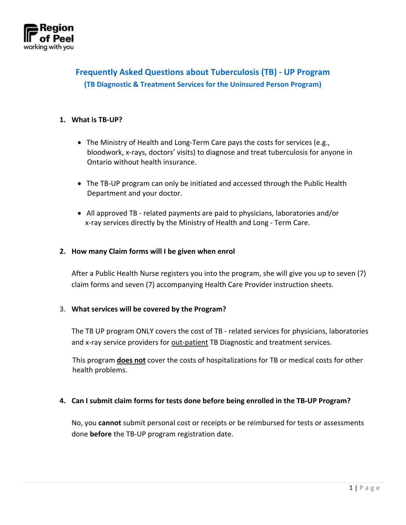

# **Frequently Asked Questions about Tuberculosis (TB) - UP Program (TB Diagnostic & Treatment Services for the Uninsured Person Program)**

#### **1. What is TB-UP?**

- The Ministry of Health and Long-Term Care pays the costs for services (e.g., bloodwork, x-rays, doctors' visits) to diagnose and treat tuberculosis for anyone in Ontario without health insurance.
- The TB-UP program can only be initiated and accessed through the Public Health Department and your doctor.
- All approved TB related payments are paid to physicians, laboratories and/or x-ray services directly by the Ministry of Health and Long - Term Care.

#### **2. How many Claim forms will I be given when enrol**

After a Public Health Nurse registers you into the program, she will give you up to seven (7) claim forms and seven (7) accompanying Health Care Provider instruction sheets.

#### 3. **What services will be covered by the Program?**

The TB UP program ONLY covers the cost of TB - related services for physicians, laboratories and x-ray service providers for out-patient TB Diagnostic and treatment services.

 This program **does not** cover the costs of hospitalizations for TB or medical costs for other health problems.

#### **4. Can I submit claim forms for tests done before being enrolled in the TB-UP Program?**

No, you **cannot** submit personal cost or receipts or be reimbursed for tests or assessments done **before** the TB-UP program registration date.